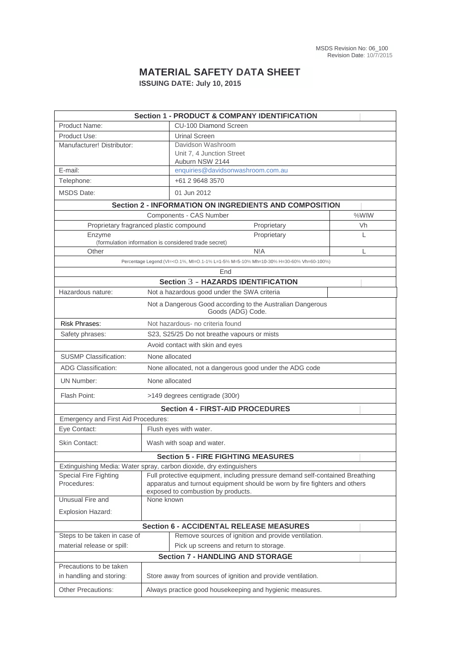## **MATERIAL SAFETY DATA SHEET ISSUING DATE: July 10, 2015**

| <b>Section 1 - PRODUCT &amp; COMPANY IDENTIFICATION</b>                                  |                                                                               |                                                                     |   |  |  |  |  |  |
|------------------------------------------------------------------------------------------|-------------------------------------------------------------------------------|---------------------------------------------------------------------|---|--|--|--|--|--|
| Product Name:                                                                            |                                                                               | <b>CU-100 Diamond Screen</b>                                        |   |  |  |  |  |  |
| Product Use:                                                                             |                                                                               | <b>Urinal Screen</b>                                                |   |  |  |  |  |  |
| Manufacturer! Distributor:                                                               |                                                                               | Davidson Washroom                                                   |   |  |  |  |  |  |
|                                                                                          |                                                                               | Unit 7, 4 Junction Street<br>Auburn NSW 2144                        |   |  |  |  |  |  |
| E-mail:                                                                                  |                                                                               | enquiries@davidsonwashroom.com.au                                   |   |  |  |  |  |  |
| Telephone:                                                                               |                                                                               | +61 2 9648 3570                                                     |   |  |  |  |  |  |
|                                                                                          |                                                                               | 01 Jun 2012                                                         |   |  |  |  |  |  |
| <b>MSDS Date:</b>                                                                        |                                                                               |                                                                     |   |  |  |  |  |  |
| <b>Section 2 - INFORMATION ON INGREDIENTS AND COMPOSITION</b><br>Components - CAS Number |                                                                               |                                                                     |   |  |  |  |  |  |
|                                                                                          | %WIW                                                                          |                                                                     |   |  |  |  |  |  |
| Proprietary fragranced plastic compound                                                  | Proprietary                                                                   | Vh                                                                  |   |  |  |  |  |  |
| Enzyme                                                                                   |                                                                               | Proprietary<br>(formulation information is considered trade secret) | L |  |  |  |  |  |
| Other                                                                                    |                                                                               | N!A                                                                 | L |  |  |  |  |  |
| Percentage Legend: (VI=< 0.1%, MI=0.1-1% L=1-5% M=5-10% Mh=10-30% H=30-60% Vh=60-100%)   |                                                                               |                                                                     |   |  |  |  |  |  |
| End                                                                                      |                                                                               |                                                                     |   |  |  |  |  |  |
| <b>Section 3 - HAZARDS IDENTIFICATION</b>                                                |                                                                               |                                                                     |   |  |  |  |  |  |
| Hazardous nature:                                                                        |                                                                               | Not a hazardous good under the SWA criteria                         |   |  |  |  |  |  |
| Not a Dangerous Good according to the Australian Dangerous<br>Goods (ADG) Code.          |                                                                               |                                                                     |   |  |  |  |  |  |
| <b>Risk Phrases:</b><br>Not hazardous- no criteria found                                 |                                                                               |                                                                     |   |  |  |  |  |  |
| Safety phrases:                                                                          | S23, S25/25 Do not breathe vapours or mists                                   |                                                                     |   |  |  |  |  |  |
| Avoid contact with skin and eyes                                                         |                                                                               |                                                                     |   |  |  |  |  |  |
| <b>SUSMP Classification:</b><br>None allocated                                           |                                                                               |                                                                     |   |  |  |  |  |  |
| <b>ADG Classification:</b>                                                               | None allocated, not a dangerous good under the ADG code                       |                                                                     |   |  |  |  |  |  |
| <b>UN Number:</b>                                                                        | None allocated                                                                |                                                                     |   |  |  |  |  |  |
| Flash Point:                                                                             |                                                                               | >149 degrees centigrade (300r)                                      |   |  |  |  |  |  |
| <b>Section 4 - FIRST-AID PROCEDURES</b>                                                  |                                                                               |                                                                     |   |  |  |  |  |  |
| Emergency and First Aid Procedures:                                                      |                                                                               |                                                                     |   |  |  |  |  |  |
| Eye Contact:                                                                             | Flush eyes with water.                                                        |                                                                     |   |  |  |  |  |  |
| <b>Skin Contact:</b>                                                                     | Wash with soap and water.                                                     |                                                                     |   |  |  |  |  |  |
|                                                                                          |                                                                               | <b>Section 5 - FIRE FIGHTING MEASURES</b>                           |   |  |  |  |  |  |
| Extinguishing Media: Water spray, carbon dioxide, dry extinguishers                      |                                                                               |                                                                     |   |  |  |  |  |  |
| Special Fire Fighting                                                                    | Full protective equipment, including pressure demand self-contained Breathing |                                                                     |   |  |  |  |  |  |
| Procedures:                                                                              | apparatus and turnout equipment should be worn by fire fighters and others    |                                                                     |   |  |  |  |  |  |
| Unusual Fire and                                                                         | exposed to combustion by products.<br>None known                              |                                                                     |   |  |  |  |  |  |
| Explosion Hazard:                                                                        |                                                                               |                                                                     |   |  |  |  |  |  |
|                                                                                          |                                                                               |                                                                     |   |  |  |  |  |  |
| <b>Section 6 - ACCIDENTAL RELEASE MEASURES</b>                                           |                                                                               |                                                                     |   |  |  |  |  |  |
| Steps to be taken in case of<br>Remove sources of ignition and provide ventilation.      |                                                                               |                                                                     |   |  |  |  |  |  |
| material release or spill:<br>Pick up screens and return to storage.                     |                                                                               |                                                                     |   |  |  |  |  |  |
| <b>Section 7 - HANDLING AND STORAGE</b>                                                  |                                                                               |                                                                     |   |  |  |  |  |  |
| Precautions to be taken                                                                  |                                                                               |                                                                     |   |  |  |  |  |  |
| in handling and storing:                                                                 | Store away from sources of ignition and provide ventilation.                  |                                                                     |   |  |  |  |  |  |
| Other Precautions:                                                                       | Always practice good housekeeping and hygienic measures.                      |                                                                     |   |  |  |  |  |  |